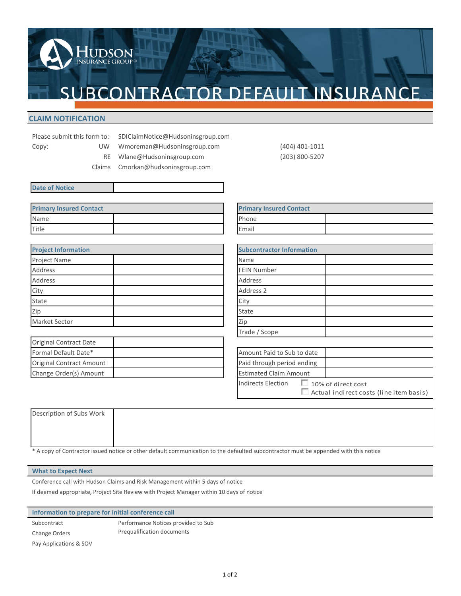

## **CLAIM NOTIFICATION**

|       | Please submit this form to: |  |    |
|-------|-----------------------------|--|----|
| Copy: |                             |  | UW |

- SDIClaimNotice@Hudsoninsgroup.com Wmoreman@Hudsoninsgroup.com (404) 401-1011
- RE Wlane@Hudsoninsgroup.com (203) 800-5207

Claims Cmorkan@hudsoninsgroup.com

|  | <b>Date of Notice</b> |
|--|-----------------------|

| <b>Primary Insured Contact</b> |  | <b>Primary Insured Contact</b> |
|--------------------------------|--|--------------------------------|
| Name                           |  | Phone                          |
| Title                          |  | Email                          |

**UDSON**<br>URANCE GROUP®

| <b>Project Information</b> |                        | <b>Subcontractor Information</b> |
|----------------------------|------------------------|----------------------------------|
| Project Name               |                        | Name                             |
| <b>Address</b>             |                        | <b>FEIN Number</b>               |
| Address                    |                        | Address                          |
| City                       |                        | Address 2                        |
| State                      |                        | City                             |
| Zip                        |                        | State                            |
| Market Sector              | <b>Student Housing</b> | $\overline{\phantom{a}}$<br>Zip  |

| Original Contract Date          |  |                               |
|---------------------------------|--|-------------------------------|
| Formal Default Date*            |  | Amount Paid to Sub to date    |
| <b>Original Contract Amount</b> |  | Paid through period ending    |
| Change Order(s) Amount          |  | <b>Estimated Claim Amount</b> |

| <b>Primary Insured Contact</b> |  |
|--------------------------------|--|
| Phone                          |  |
| Email                          |  |

| <b>Subcontractor Information</b> |               |
|----------------------------------|---------------|
| Name                             |               |
| <b>FEIN Number</b>               |               |
| <b>Address</b>                   |               |
| Address 2                        |               |
| City                             |               |
| State                            |               |
| Zip                              |               |
| Trade / Scope                    | Windows/Doors |

| Amount Paid to Sub to date    |                                                                      |
|-------------------------------|----------------------------------------------------------------------|
| Paid through period ending    |                                                                      |
| <b>Estimated Claim Amount</b> |                                                                      |
| Indirects Election            | $\Box$ 10% of direct cost<br>Actual indirect costs (line item basis) |

| Description of Subs Work |                                                                                                                                      |  |
|--------------------------|--------------------------------------------------------------------------------------------------------------------------------------|--|
|                          |                                                                                                                                      |  |
|                          |                                                                                                                                      |  |
|                          |                                                                                                                                      |  |
|                          | * A copy of Contractor issued notice or other default communication to the defaulted subcontractor must be appended with this notice |  |

## **What to Expect Next**

Conference call with Hudson Claims and Risk Management within 5 days of notice

If deemed appropriate, Project Site Review with Project Manager within 10 days of notice

**Information to prepare for initial conference call**

Subcontract Change Orders Performance Notices provided to Sub Prequalification documents Pay Applications & SOV